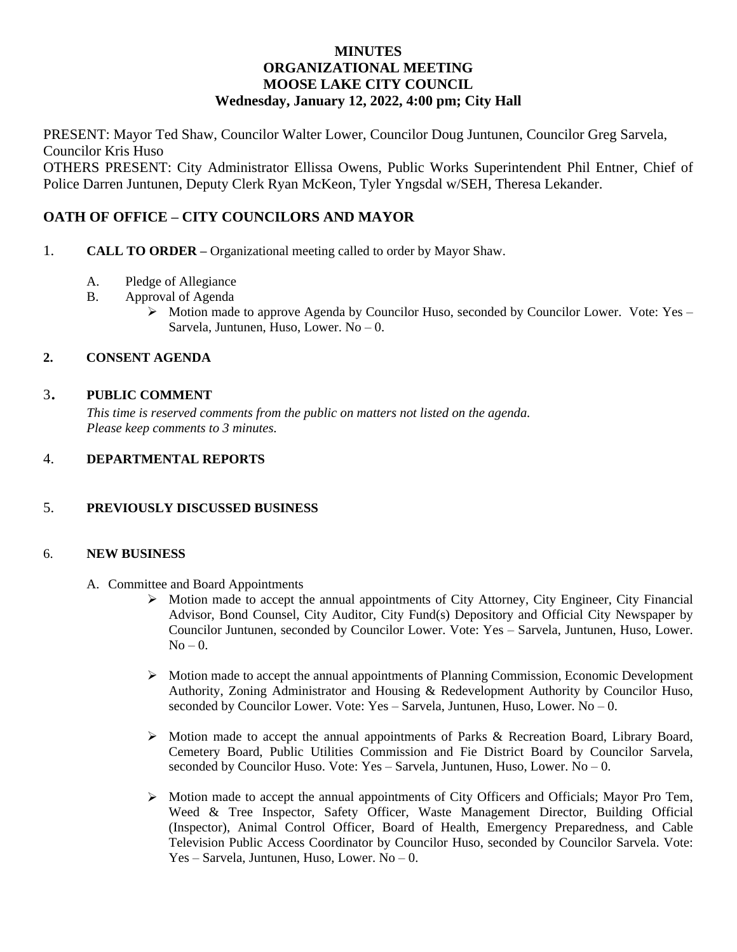# **MINUTES ORGANIZATIONAL MEETING MOOSE LAKE CITY COUNCIL Wednesday, January 12, 2022, 4:00 pm; City Hall**

PRESENT: Mayor Ted Shaw, Councilor Walter Lower, Councilor Doug Juntunen, Councilor Greg Sarvela, Councilor Kris Huso OTHERS PRESENT: City Administrator Ellissa Owens, Public Works Superintendent Phil Entner, Chief of

Police Darren Juntunen, Deputy Clerk Ryan McKeon, Tyler Yngsdal w/SEH, Theresa Lekander.

# **OATH OF OFFICE – CITY COUNCILORS AND MAYOR**

## 1. **CALL TO ORDER –** Organizational meeting called to order by Mayor Shaw.

- A. Pledge of Allegiance
- B. Approval of Agenda
	- $\triangleright$  Motion made to approve Agenda by Councilor Huso, seconded by Councilor Lower. Vote: Yes Sarvela, Juntunen, Huso, Lower. No – 0.

## **2. CONSENT AGENDA**

## <sup>3</sup>. **PUBLIC COMMENT**

*This time is reserved comments from the public on matters not listed on the agenda. Please keep comments to 3 minutes.*

### 4. **DEPARTMENTAL REPORTS**

#### 5. **PREVIOUSLY DISCUSSED BUSINESS**

#### 6. **NEW BUSINESS**

- A. Committee and Board Appointments
	- $\triangleright$  Motion made to accept the annual appointments of City Attorney, City Engineer, City Financial Advisor, Bond Counsel, City Auditor, City Fund(s) Depository and Official City Newspaper by Councilor Juntunen, seconded by Councilor Lower. Vote: Yes – Sarvela, Juntunen, Huso, Lower.  $No - 0.$
	- Motion made to accept the annual appointments of Planning Commission, Economic Development Authority, Zoning Administrator and Housing & Redevelopment Authority by Councilor Huso, seconded by Councilor Lower. Vote: Yes – Sarvela, Juntunen, Huso, Lower. No – 0.
	- $\triangleright$  Motion made to accept the annual appointments of Parks & Recreation Board, Library Board, Cemetery Board, Public Utilities Commission and Fie District Board by Councilor Sarvela, seconded by Councilor Huso. Vote: Yes – Sarvela, Juntunen, Huso, Lower. No – 0.
	- $\triangleright$  Motion made to accept the annual appointments of City Officers and Officials; Mayor Pro Tem, Weed & Tree Inspector, Safety Officer, Waste Management Director, Building Official (Inspector), Animal Control Officer, Board of Health, Emergency Preparedness, and Cable Television Public Access Coordinator by Councilor Huso, seconded by Councilor Sarvela. Vote: Yes – Sarvela, Juntunen, Huso, Lower. No – 0.